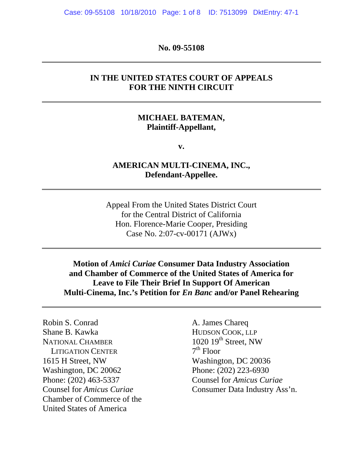Case: 09-55108 10/18/2010 Page: 1 of 8 ID: 7513099 DktEntry: 47-1

### **No. 09-55108**

## **IN THE UNITED STATES COURT OF APPEALS FOR THE NINTH CIRCUIT**

## **MICHAEL BATEMAN, Plaintiff-Appellant,**

**v.** 

## **AMERICAN MULTI-CINEMA, INC., Defendant-Appellee.**

Appeal From the United States District Court for the Central District of California Hon. Florence-Marie Cooper, Presiding Case No. 2:07-cv-00171 (AJWx)

**Motion of** *Amici Curiae* **Consumer Data Industry Association and Chamber of Commerce of the United States of America for Leave to File Their Brief In Support Of American Multi-Cinema, Inc.'s Petition for** *En Banc* **and/or Panel Rehearing** 

Robin S. Conrad A. James Chareq Shane B. Kawka HUDSON COOK, LLP NATIONAL CHAMBER<br>
LITIGATION CENTER<br>  $7<sup>th</sup> Floor$ <br>
Hoor LITIGATION CENTER 1615 H Street, NW Washington, DC 20036 Washington, DC 20062 Phone: (202) 223-6930 Phone: (202) 463-5337 Counsel for *Amicus Curiae* Chamber of Commerce of the United States of America

Counsel for *Amicus Curiae* Consumer Data Industry Ass'n.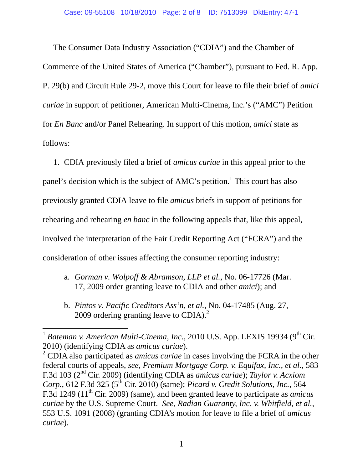The Consumer Data Industry Association ("CDIA") and the Chamber of Commerce of the United States of America ("Chamber"), pursuant to Fed. R. App. P. 29(b) and Circuit Rule 29-2, move this Court for leave to file their brief of *amici curiae* in support of petitioner, American Multi-Cinema, Inc.'s ("AMC") Petition for *En Banc* and/or Panel Rehearing. In support of this motion, *amici* state as follows:

 1. CDIA previously filed a brief of *amicus curiae* in this appeal prior to the panel's decision which is the subject of  $AMC$ 's petition.<sup>1</sup> This court has also previously granted CDIA leave to file *amicus* briefs in support of petitions for rehearing and rehearing *en banc* in the following appeals that, like this appeal, involved the interpretation of the Fair Credit Reporting Act ("FCRA") and the consideration of other issues affecting the consumer reporting industry:

- a. *Gorman v. Wolpoff & Abramson, LLP et al.*, No. 06-17726 (Mar. 17, 2009 order granting leave to CDIA and other *amici*); and
- b. *Pintos v. Pacific Creditors Ass'n, et al.*, No. 04-17485 (Aug. 27, 2009 ordering granting leave to CDIA). $^{2}$

 $1$  *Bateman v. American Multi-Cinema, Inc., 2010 U.S. App. LEXIS 19934 (9<sup>th</sup> Cir.)* 2010) (identifying CDIA as *amicus curiae*).

<sup>2</sup> CDIA also participated as *amicus curiae* in cases involving the FCRA in the other federal courts of appeals, *see, Premium Mortgage Corp. v. Equifax, Inc., et al.*, 583 F.3d 103 (2nd Cir. 2009) (identifying CDIA as *amicus curiae*); *Taylor v. Acxiom Corp.*, 612 F.3d 325 (5<sup>th</sup> Cir. 2010) (same); *Picard v. Credit Solutions, Inc.*, 564 F.3d 1249 (11th Cir. 2009) (same), and been granted leave to participate as *amicus curiae* by the U.S. Supreme Court. *See, Radian Guaranty, Inc. v. Whitfield, et al.*, 553 U.S. 1091 (2008) (granting CDIA's motion for leave to file a brief of *amicus curiae*).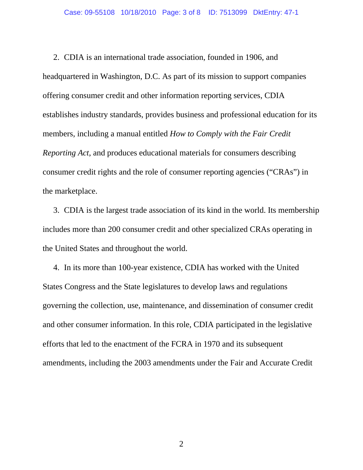2. CDIA is an international trade association, founded in 1906, and headquartered in Washington, D.C. As part of its mission to support companies offering consumer credit and other information reporting services, CDIA establishes industry standards, provides business and professional education for its members, including a manual entitled *How to Comply with the Fair Credit Reporting Act*, and produces educational materials for consumers describing consumer credit rights and the role of consumer reporting agencies ("CRAs") in the marketplace.

 3. CDIA is the largest trade association of its kind in the world. Its membership includes more than 200 consumer credit and other specialized CRAs operating in the United States and throughout the world.

 4. In its more than 100-year existence, CDIA has worked with the United States Congress and the State legislatures to develop laws and regulations governing the collection, use, maintenance, and dissemination of consumer credit and other consumer information. In this role, CDIA participated in the legislative efforts that led to the enactment of the FCRA in 1970 and its subsequent amendments, including the 2003 amendments under the Fair and Accurate Credit

2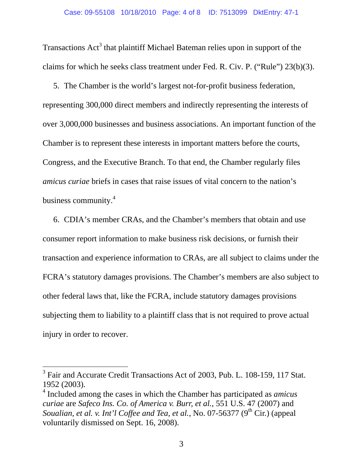Transactions Act<sup>3</sup> that plaintiff Michael Bateman relies upon in support of the claims for which he seeks class treatment under Fed. R. Civ. P. ("Rule") 23(b)(3).

 5. The Chamber is the world's largest not-for-profit business federation, representing 300,000 direct members and indirectly representing the interests of over 3,000,000 businesses and business associations. An important function of the Chamber is to represent these interests in important matters before the courts, Congress, and the Executive Branch. To that end, the Chamber regularly files *amicus curiae* briefs in cases that raise issues of vital concern to the nation's business community.<sup>4</sup>

 6. CDIA's member CRAs, and the Chamber's members that obtain and use consumer report information to make business risk decisions, or furnish their transaction and experience information to CRAs, are all subject to claims under the FCRA's statutory damages provisions. The Chamber's members are also subject to other federal laws that, like the FCRA, include statutory damages provisions subjecting them to liability to a plaintiff class that is not required to prove actual injury in order to recover.

<sup>&</sup>lt;sup>3</sup> Fair and Accurate Credit Transactions Act of 2003, Pub. L. 108-159, 117 Stat. 1952 (2003).

<sup>4</sup> Included among the cases in which the Chamber has participated as *amicus curiae* are *Safeco Ins. Co. of America v. Burr, et al.*, 551 U.S. 47 (2007) and *Soualian, et al. v. Int'l Coffee and Tea, et al., No. 07-56377* (9<sup>th</sup> Cir.) (appeal voluntarily dismissed on Sept. 16, 2008).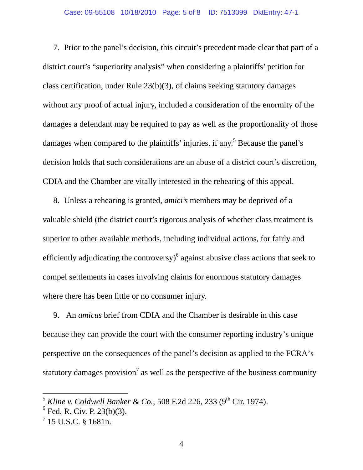7. Prior to the panel's decision, this circuit's precedent made clear that part of a district court's "superiority analysis" when considering a plaintiffs' petition for class certification, under Rule 23(b)(3), of claims seeking statutory damages without any proof of actual injury, included a consideration of the enormity of the damages a defendant may be required to pay as well as the proportionality of those damages when compared to the plaintiffs' injuries, if any.<sup>5</sup> Because the panel's decision holds that such considerations are an abuse of a district court's discretion, CDIA and the Chamber are vitally interested in the rehearing of this appeal.

 8. Unless a rehearing is granted, *amici's* members may be deprived of a valuable shield (the district court's rigorous analysis of whether class treatment is superior to other available methods, including individual actions, for fairly and efficiently adjudicating the controversy) $<sup>6</sup>$  against abusive class actions that seek to</sup> compel settlements in cases involving claims for enormous statutory damages where there has been little or no consumer injury.

 9. An *amicus* brief from CDIA and the Chamber is desirable in this case because they can provide the court with the consumer reporting industry's unique perspective on the consequences of the panel's decision as applied to the FCRA's statutory damages provision<sup>7</sup> as well as the perspective of the business community

 $^5$  Kline v. Coldwell Banker & Co., 508 F.2d 226, 233 (9<sup>th</sup> Cir. 1974).

 $6$  Fed. R. Civ. P. 23(b)(3).

 $^{7}$  15 U.S.C. § 1681n.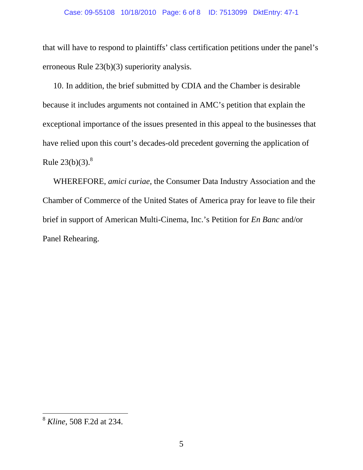### Case: 09-55108 10/18/2010 Page: 6 of 8 ID: 7513099 DktEntry: 47-1

that will have to respond to plaintiffs' class certification petitions under the panel's erroneous Rule 23(b)(3) superiority analysis.

 10. In addition, the brief submitted by CDIA and the Chamber is desirable because it includes arguments not contained in AMC's petition that explain the exceptional importance of the issues presented in this appeal to the businesses that have relied upon this court's decades-old precedent governing the application of Rule  $23(b)(3)$ .<sup>8</sup>

 WHEREFORE, *amici curiae*, the Consumer Data Industry Association and the Chamber of Commerce of the United States of America pray for leave to file their brief in support of American Multi-Cinema, Inc.'s Petition for *En Banc* and/or Panel Rehearing.

<sup>8</sup> *Kline*, 508 F.2d at 234.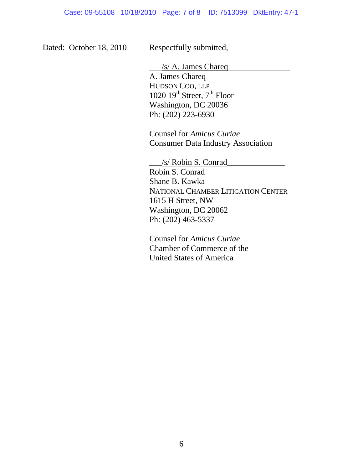Dated: October 18, 2010 Respectfully submitted,

 $\frac{1}{s}$  A. James Chareq A. James Chareq HUDSON COO, LLP 1020  $19^{th}$  Street,  $7^{th}$  Floor Washington, DC 20036 Ph: (202) 223-6930

 Counsel for *Amicus Curiae* Consumer Data Industry Association

 \_\_\_/s/ Robin S. Conrad\_\_\_\_\_\_\_\_\_\_\_\_\_\_ Robin S. Conrad Shane B. Kawka NATIONAL CHAMBER LITIGATION CENTER 1615 H Street, NW Washington, DC 20062 Ph: (202) 463-5337

 Counsel for *Amicus Curiae* Chamber of Commerce of the United States of America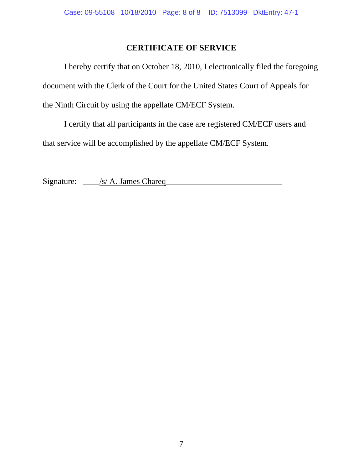# **CERTIFICATE OF SERVICE**

 I hereby certify that on October 18, 2010, I electronically filed the foregoing document with the Clerk of the Court for the United States Court of Appeals for the Ninth Circuit by using the appellate CM/ECF System.

 I certify that all participants in the case are registered CM/ECF users and that service will be accomplished by the appellate CM/ECF System.

Signature: \_\_\_\_/s/ A. James Chareq\_\_\_\_\_\_\_\_\_\_\_\_\_\_\_\_\_\_\_\_\_\_\_\_\_\_\_\_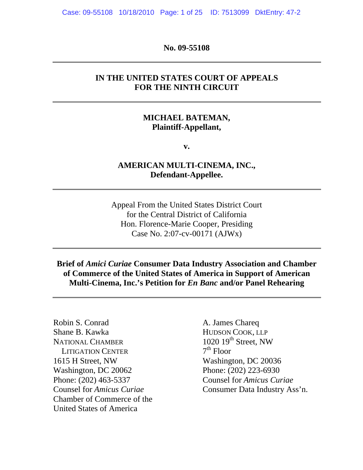Case: 09-55108 10/18/2010 Page: 1 of 25 ID: 7513099 DktEntry: 47-2

**No. 09-55108** 

## **IN THE UNITED STATES COURT OF APPEALS FOR THE NINTH CIRCUIT**

## **MICHAEL BATEMAN, Plaintiff-Appellant,**

**v.** 

## **AMERICAN MULTI-CINEMA, INC., Defendant-Appellee.**

Appeal From the United States District Court for the Central District of California Hon. Florence-Marie Cooper, Presiding Case No. 2:07-cv-00171 (AJWx)

## **Brief of** *Amici Curiae* **Consumer Data Industry Association and Chamber of Commerce of the United States of America in Support of American Multi-Cinema, Inc.'s Petition for** *En Banc* **and/or Panel Rehearing**

Robin S. Conrad A. James Chareq Shane B. Kawka HUDSON COOK, LLP NATIONAL CHAMBER<br>
LITIGATION CENTER
<sup>7th</sup> Floor **LITIGATION CENTER** 1615 H Street, NW Washington, DC 20036 Washington, DC 20062 Phone: (202) 223-6930 Phone: (202) 463-5337 Counsel for *Amicus Curiae* Chamber of Commerce of the United States of America

Counsel for *Amicus Curiae* Consumer Data Industry Ass'n.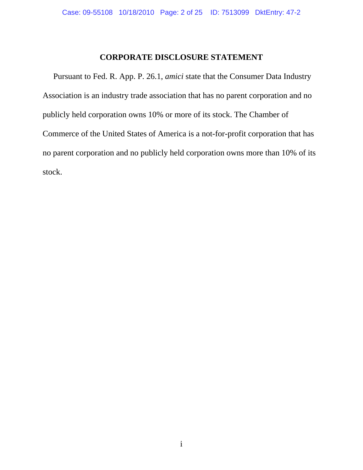## **CORPORATE DISCLOSURE STATEMENT**

 Pursuant to Fed. R. App. P. 26.1, *amici* state that the Consumer Data Industry Association is an industry trade association that has no parent corporation and no publicly held corporation owns 10% or more of its stock. The Chamber of Commerce of the United States of America is a not-for-profit corporation that has no parent corporation and no publicly held corporation owns more than 10% of its stock.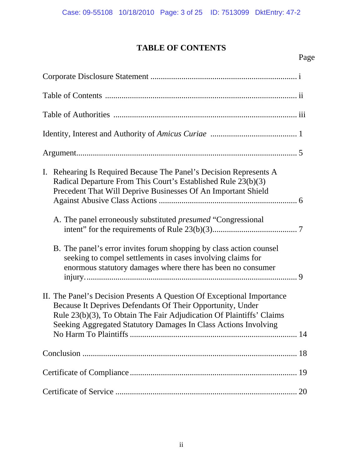# **TABLE OF CONTENTS**

### Page **Page**

| Rehearing Is Required Because The Panel's Decision Represents A<br>I.<br>Radical Departure From This Court's Established Rule 23(b)(3)<br>Precedent That Will Deprive Businesses Of An Important Shield<br>A. The panel erroneously substituted <i>presumed</i> "Congressional" |
|---------------------------------------------------------------------------------------------------------------------------------------------------------------------------------------------------------------------------------------------------------------------------------|
| B. The panel's error invites forum shopping by class action counsel<br>seeking to compel settlements in cases involving claims for<br>enormous statutory damages where there has been no consumer                                                                               |
| II. The Panel's Decision Presents A Question Of Exceptional Importance<br>Because It Deprives Defendants Of Their Opportunity, Under<br>Rule 23(b)(3), To Obtain The Fair Adjudication Of Plaintiffs' Claims<br>Seeking Aggregated Statutory Damages In Class Actions Involving |
| 18                                                                                                                                                                                                                                                                              |
|                                                                                                                                                                                                                                                                                 |
|                                                                                                                                                                                                                                                                                 |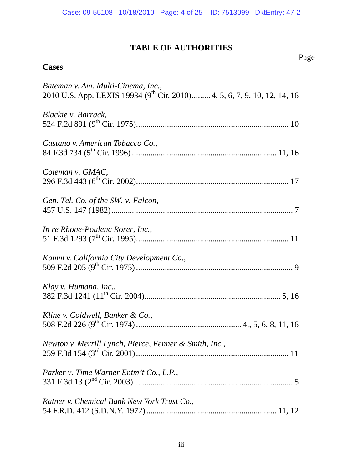## **TABLE OF AUTHORITIES**  Page **Page**

### **Cases**

# *Bateman v. Am. Multi-Cinema, Inc.,* 2010 U.S. App. LEXIS 19934 (9<sup>th</sup> Cir. 2010)......... 4, 5, 6, 7, 9, 10, 12, 14, 16 *Blackie v. Barrack*, 524 F.2d 891 (9th Cir. 1975).......................................................................... 10 *Castano v. American Tobacco Co.*, 84 F.3d 734 (5th Cir. 1996) ...................................................................... 11, 16 *Coleman v. GMAC*, 296 F.3d 443 (6th Cir. 2002).......................................................................... 17 *Gen. Tel. Co. of the SW. v. Falcon,* 457 U.S. 147 (1982)........................................................................................ 7 *In re Rhone-Poulenc Rorer, Inc.*, 51 F.3d 1293 (7th Cir. 1995).......................................................................... 11 *Kamm v. California City Development Co.*, 509 F.2d 205 (9th Cir. 1975) ............................................................................ 9 *Klay v. Humana, Inc.*, 382 F.3d 1241 (11th Cir. 2004).................................................................. 5, 16 *Kline v. Coldwell, Banker & Co.,* 508 F.2d 226 (9th Cir. 1974) ................................................... 4,, 5, 6, 8, 11, 16 *Newton v. Merrill Lynch, Pierce, Fenner & Smith, Inc.*, 259 F.3d 154 (3rd Cir. 2001).......................................................................... 11 *Parker v. Time Warner Entm't Co., L.P.,*  331 F.3d 13 (2nd Cir. 2003)............................................................................. 5 *Ratner v. Chemical Bank New York Trust Co.,*  54 F.R.D. 412 (S.D.N.Y. 1972) ............................................................... 11, 12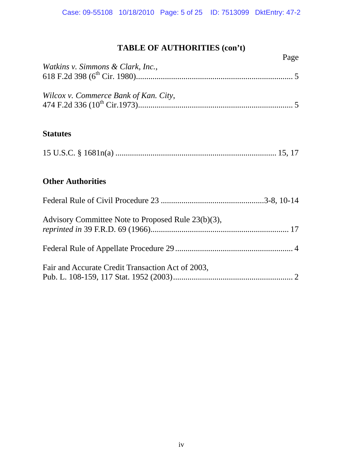# **TABLE OF AUTHORITIES (con't)**

| Page                                               |
|----------------------------------------------------|
| Watkins v. Simmons & Clark, Inc.,                  |
|                                                    |
| Wilcox v. Commerce Bank of Kan. City,              |
|                                                    |
|                                                    |
| <b>Statutes</b>                                    |
|                                                    |
|                                                    |
| <b>Other Authorities</b>                           |
|                                                    |
| Advisory Committee Note to Proposed Rule 23(b)(3), |
|                                                    |
|                                                    |
| Fair and Accurate Credit Transaction Act of 2003,  |
|                                                    |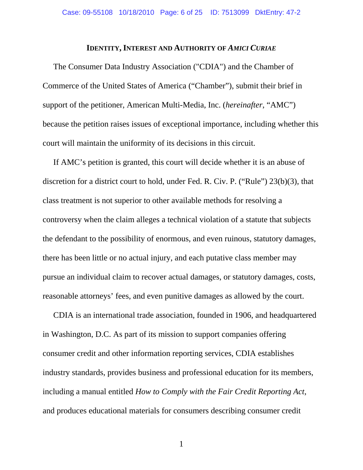### **IDENTITY, INTEREST AND AUTHORITY OF AMICI CURIAE**

 The Consumer Data Industry Association ("CDIA") and the Chamber of Commerce of the United States of America ("Chamber"), submit their brief in support of the petitioner, American Multi-Media, Inc. (*hereinafter*, "AMC") because the petition raises issues of exceptional importance, including whether this court will maintain the uniformity of its decisions in this circuit.

 If AMC's petition is granted, this court will decide whether it is an abuse of discretion for a district court to hold, under Fed. R. Civ. P. ("Rule") 23(b)(3), that class treatment is not superior to other available methods for resolving a controversy when the claim alleges a technical violation of a statute that subjects the defendant to the possibility of enormous, and even ruinous, statutory damages, there has been little or no actual injury, and each putative class member may pursue an individual claim to recover actual damages, or statutory damages, costs, reasonable attorneys' fees, and even punitive damages as allowed by the court.

 CDIA is an international trade association, founded in 1906, and headquartered in Washington, D.C. As part of its mission to support companies offering consumer credit and other information reporting services, CDIA establishes industry standards, provides business and professional education for its members, including a manual entitled *How to Comply with the Fair Credit Reporting Act*, and produces educational materials for consumers describing consumer credit

1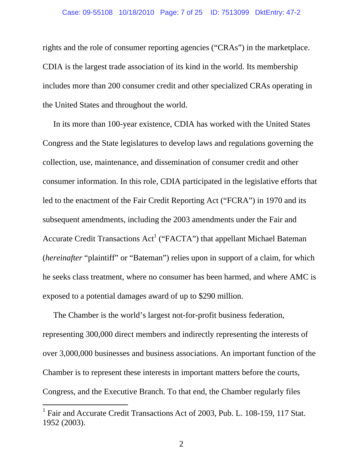### Case: 09-55108 10/18/2010 Page: 7 of 25 ID: 7513099 DktEntry: 47-2

rights and the role of consumer reporting agencies ("CRAs") in the marketplace. CDIA is the largest trade association of its kind in the world. Its membership includes more than 200 consumer credit and other specialized CRAs operating in the United States and throughout the world.

 In its more than 100-year existence, CDIA has worked with the United States Congress and the State legislatures to develop laws and regulations governing the collection, use, maintenance, and dissemination of consumer credit and other consumer information. In this role, CDIA participated in the legislative efforts that led to the enactment of the Fair Credit Reporting Act ("FCRA") in 1970 and its subsequent amendments, including the 2003 amendments under the Fair and Accurate Credit Transactions  $Act^1$  ("FACTA") that appellant Michael Bateman (*hereinafter* "plaintiff" or "Bateman") relies upon in support of a claim, for which he seeks class treatment, where no consumer has been harmed, and where AMC is exposed to a potential damages award of up to \$290 million.

 The Chamber is the world's largest not-for-profit business federation, representing 300,000 direct members and indirectly representing the interests of over 3,000,000 businesses and business associations. An important function of the Chamber is to represent these interests in important matters before the courts, Congress, and the Executive Branch. To that end, the Chamber regularly files

<sup>&</sup>lt;sup>1</sup> Fair and Accurate Credit Transactions Act of 2003, Pub. L. 108-159, 117 Stat. 1952 (2003).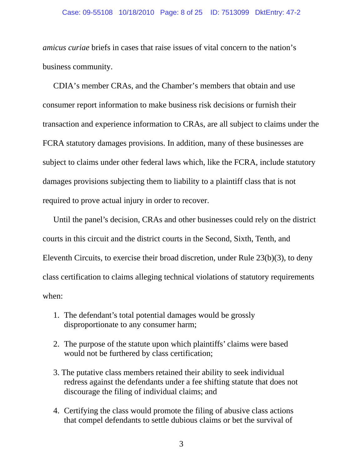### Case: 09-55108 10/18/2010 Page: 8 of 25 ID: 7513099 DktEntry: 47-2

*amicus curiae* briefs in cases that raise issues of vital concern to the nation's business community.

 CDIA's member CRAs, and the Chamber's members that obtain and use consumer report information to make business risk decisions or furnish their transaction and experience information to CRAs, are all subject to claims under the FCRA statutory damages provisions. In addition, many of these businesses are subject to claims under other federal laws which, like the FCRA, include statutory damages provisions subjecting them to liability to a plaintiff class that is not required to prove actual injury in order to recover.

 Until the panel's decision, CRAs and other businesses could rely on the district courts in this circuit and the district courts in the Second, Sixth, Tenth, and Eleventh Circuits, to exercise their broad discretion, under Rule 23(b)(3), to deny class certification to claims alleging technical violations of statutory requirements when:

- 1. The defendant's total potential damages would be grossly disproportionate to any consumer harm;
- 2. The purpose of the statute upon which plaintiffs' claims were based would not be furthered by class certification;
- 3. The putative class members retained their ability to seek individual redress against the defendants under a fee shifting statute that does not discourage the filing of individual claims; and
- 4. Certifying the class would promote the filing of abusive class actions that compel defendants to settle dubious claims or bet the survival of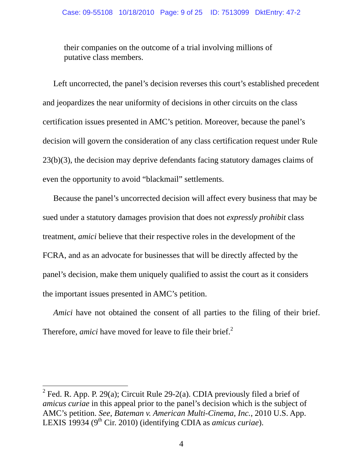their companies on the outcome of a trial involving millions of putative class members.

 Left uncorrected, the panel's decision reverses this court's established precedent and jeopardizes the near uniformity of decisions in other circuits on the class certification issues presented in AMC's petition. Moreover, because the panel's decision will govern the consideration of any class certification request under Rule 23(b)(3), the decision may deprive defendants facing statutory damages claims of even the opportunity to avoid "blackmail" settlements.

 Because the panel's uncorrected decision will affect every business that may be sued under a statutory damages provision that does not *expressly prohibit* class treatment, *amici* believe that their respective roles in the development of the FCRA, and as an advocate for businesses that will be directly affected by the panel's decision, make them uniquely qualified to assist the court as it considers the important issues presented in AMC's petition.

*Amici* have not obtained the consent of all parties to the filing of their brief. Therefore, *amici* have moved for leave to file their brief.<sup>2</sup>

<sup>&</sup>lt;sup>2</sup> Fed. R. App. P. 29(a); Circuit Rule 29-2(a). CDIA previously filed a brief of *amicus curiae* in this appeal prior to the panel's decision which is the subject of AMC's petition. *See, Bateman v. American Multi-Cinema, Inc.*, 2010 U.S. App. LEXIS 19934 (9<sup>th</sup> Cir. 2010) (identifying CDIA as *amicus curiae*).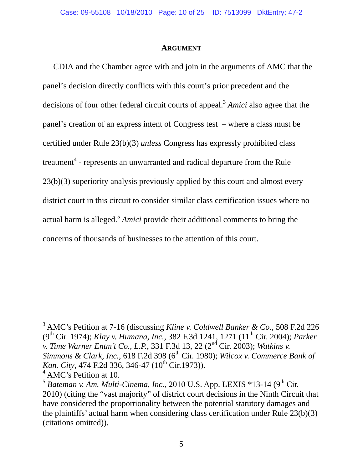### **ARGUMENT**

 CDIA and the Chamber agree with and join in the arguments of AMC that the panel's decision directly conflicts with this court's prior precedent and the decisions of four other federal circuit courts of appeal.<sup>3</sup> *Amici* also agree that the panel's creation of an express intent of Congress test – where a class must be certified under Rule 23(b)(3) *unless* Congress has expressly prohibited class treatment<sup>4</sup> - represents an unwarranted and radical departure from the Rule 23(b)(3) superiority analysis previously applied by this court and almost every district court in this circuit to consider similar class certification issues where no actual harm is alleged.<sup>5</sup> *Amici* provide their additional comments to bring the concerns of thousands of businesses to the attention of this court.

<sup>3</sup> AMC's Petition at 7-16 (discussing *Kline v. Coldwell Banker & Co.*, 508 F.2d 226 (9th Cir. 1974); *Klay v. Humana, Inc.*, 382 F.3d 1241, 1271 (11th Cir. 2004); *Parker v. Time Warner Entm't Co., L.P.*, 331 F.3d 13, 22 (2nd Cir. 2003); *Watkins v. Simmons & Clark, Inc., 618 F.2d 398 (6<sup>th</sup> Cir. 1980); <i>Wilcox v. Commerce Bank of Kan. City*, 474 F.2d 336, 346-47 (10<sup>th</sup> Cir.1973)).

<sup>4</sup> AMC's Petition at 10.

 $<sup>5</sup>$  *Bateman v. Am. Multi-Cinema, Inc.,* 2010 U.S. App. LEXIS  $*13-14$  (9<sup>th</sup> Cir.</sup> 2010) (citing the "vast majority" of district court decisions in the Ninth Circuit that have considered the proportionality between the potential statutory damages and the plaintiffs' actual harm when considering class certification under Rule 23(b)(3) (citations omitted)).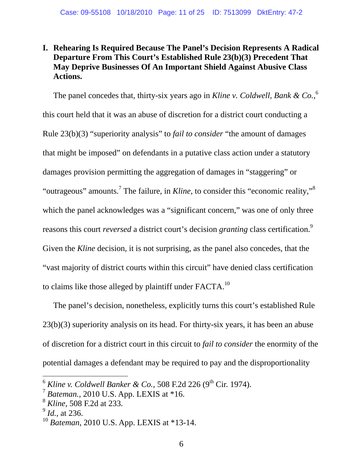# **I. Rehearing Is Required Because The Panel's Decision Represents A Radical Departure From This Court's Established Rule 23(b)(3) Precedent That May Deprive Businesses Of An Important Shield Against Abusive Class Actions.**

The panel concedes that, thirty-six years ago in *Kline v. Coldwell, Bank & Co.*,<sup>6</sup> this court held that it was an abuse of discretion for a district court conducting a Rule 23(b)(3) "superiority analysis" to *fail to consider* "the amount of damages that might be imposed" on defendants in a putative class action under a statutory damages provision permitting the aggregation of damages in "staggering" or "outrageous" amounts.<sup>7</sup> The failure, in *Kline*, to consider this "economic reality,"<sup>8</sup> which the panel acknowledges was a "significant concern," was one of only three reasons this court *reversed* a district court's decision *granting* class certification.9 Given the *Kline* decision, it is not surprising, as the panel also concedes, that the "vast majority of district courts within this circuit" have denied class certification to claims like those alleged by plaintiff under  $FACTA<sup>10</sup>$ 

 The panel's decision, nonetheless, explicitly turns this court's established Rule 23(b)(3) superiority analysis on its head. For thirty-six years, it has been an abuse of discretion for a district court in this circuit to *fail to consider* the enormity of the potential damages a defendant may be required to pay and the disproportionality

 $6$  *Kline v. Coldwell Banker & Co.*, 508 F.2d 226 (9<sup>th</sup> Cir. 1974).

<sup>7</sup> *Bateman.,* 2010 U.S. App. LEXIS at \*16.

<sup>8</sup> *Kline*, 508 F.2d at 233*.* <sup>9</sup> *Id.*, at 236.

<sup>10</sup> *Bateman*, 2010 U.S. App. LEXIS at \*13-14.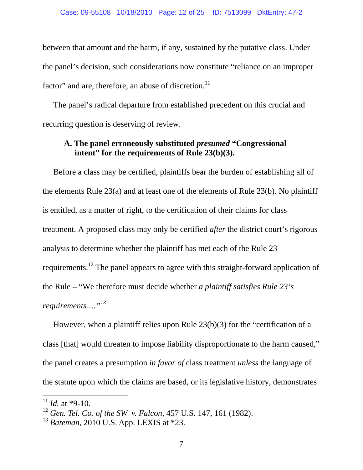between that amount and the harm, if any, sustained by the putative class. Under the panel's decision, such considerations now constitute "reliance on an improper factor" and are, therefore, an abuse of discretion. $^{11}$ 

 The panel's radical departure from established precedent on this crucial and recurring question is deserving of review.

# **A. The panel erroneously substituted** *presumed* **"Congressional intent" for the requirements of Rule 23(b)(3).**

 Before a class may be certified, plaintiffs bear the burden of establishing all of the elements Rule 23(a) and at least one of the elements of Rule 23(b). No plaintiff is entitled, as a matter of right, to the certification of their claims for class treatment. A proposed class may only be certified *after* the district court's rigorous analysis to determine whether the plaintiff has met each of the Rule 23 requirements.12 The panel appears to agree with this straight-forward application of the Rule – "We therefore must decide whether *a plaintiff satisfies Rule 23's requirements…."<sup>13</sup>*

 However, when a plaintiff relies upon Rule 23(b)(3) for the "certification of a class [that] would threaten to impose liability disproportionate to the harm caused," the panel creates a presumption *in favor of* class treatment *unless* the language of the statute upon which the claims are based, or its legislative history, demonstrates

 $11$  *Id.* at \*9-10.

<sup>12</sup> *Gen. Tel. Co. of the SW v. Falcon,* 457 U.S. 147, 161 (1982).

<sup>13</sup> *Bateman*, 2010 U.S. App. LEXIS at \*23.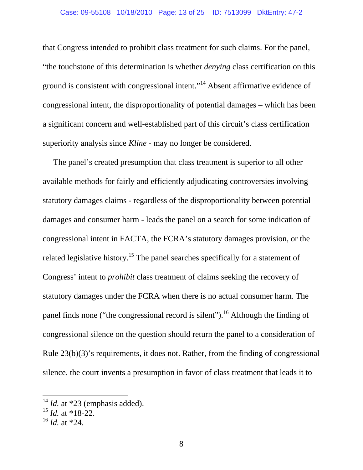that Congress intended to prohibit class treatment for such claims. For the panel, "the touchstone of this determination is whether *denying* class certification on this ground is consistent with congressional intent."14 Absent affirmative evidence of congressional intent, the disproportionality of potential damages – which has been a significant concern and well-established part of this circuit's class certification superiority analysis since *Kline* - may no longer be considered.

 The panel's created presumption that class treatment is superior to all other available methods for fairly and efficiently adjudicating controversies involving statutory damages claims - regardless of the disproportionality between potential damages and consumer harm - leads the panel on a search for some indication of congressional intent in FACTA, the FCRA's statutory damages provision, or the related legislative history.<sup>15</sup> The panel searches specifically for a statement of Congress' intent to *prohibit* class treatment of claims seeking the recovery of statutory damages under the FCRA when there is no actual consumer harm. The panel finds none ("the congressional record is silent").<sup>16</sup> Although the finding of congressional silence on the question should return the panel to a consideration of Rule 23(b)(3)'s requirements, it does not. Rather, from the finding of congressional silence, the court invents a presumption in favor of class treatment that leads it to

 $14$  *Id.* at \*23 (emphasis added).

 $^{15}$  *Id.* at \*18-22.

 $^{16}$  *Id.* at \*24.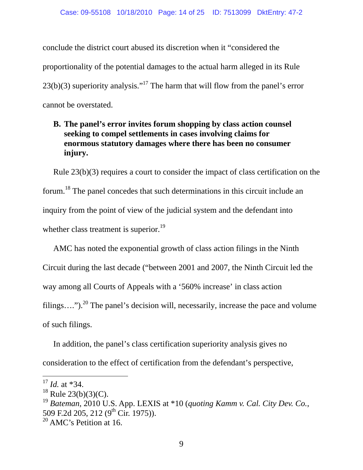conclude the district court abused its discretion when it "considered the proportionality of the potential damages to the actual harm alleged in its Rule  $23(b)(3)$  superiority analysis."<sup>17</sup> The harm that will flow from the panel's error cannot be overstated.

# **B. The panel's error invites forum shopping by class action counsel seeking to compel settlements in cases involving claims for enormous statutory damages where there has been no consumer injury.**

 Rule 23(b)(3) requires a court to consider the impact of class certification on the forum.18 The panel concedes that such determinations in this circuit include an inquiry from the point of view of the judicial system and the defendant into whether class treatment is superior. $^{19}$ 

 AMC has noted the exponential growth of class action filings in the Ninth Circuit during the last decade ("between 2001 and 2007, the Ninth Circuit led the way among all Courts of Appeals with a '560% increase' in class action filings....").<sup>20</sup> The panel's decision will, necessarily, increase the pace and volume of such filings.

 In addition, the panel's class certification superiority analysis gives no consideration to the effect of certification from the defendant's perspective,

<sup>17</sup> *Id.* at \*34.

 $18$  Rule 23(b)(3)(C).

<sup>19</sup> *Bateman*, 2010 U.S. App. LEXIS at \*10 (*quoting Kamm v. Cal. City Dev. Co.*, 509 F.2d 205, 212 (9<sup>th</sup> Cir. 1975)).

 $20$  AMC's Petition at 16.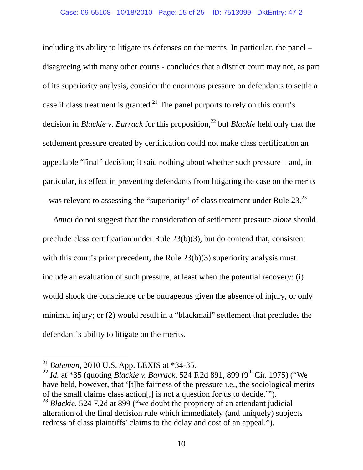including its ability to litigate its defenses on the merits. In particular, the panel – disagreeing with many other courts - concludes that a district court may not, as part of its superiority analysis, consider the enormous pressure on defendants to settle a case if class treatment is granted.<sup>21</sup> The panel purports to rely on this court's decision in *Blackie v. Barrack* for this proposition,<sup>22</sup> but *Blackie* held only that the settlement pressure created by certification could not make class certification an appealable "final" decision; it said nothing about whether such pressure – and, in particular, its effect in preventing defendants from litigating the case on the merits – was relevant to assessing the "superiority" of class treatment under Rule  $23.^{23}$ 

*Amici* do not suggest that the consideration of settlement pressure *alone* should preclude class certification under Rule 23(b)(3), but do contend that, consistent with this court's prior precedent, the Rule 23(b)(3) superiority analysis must include an evaluation of such pressure, at least when the potential recovery: (i) would shock the conscience or be outrageous given the absence of injury, or only minimal injury; or (2) would result in a "blackmail" settlement that precludes the defendant's ability to litigate on the merits.

<sup>21</sup> *Bateman*, 2010 U.S. App. LEXIS at \*34-35.

<sup>&</sup>lt;sup>22</sup> *Id.* at \*35 (quoting *Blackie v. Barrack*, 524 F.2d 891, 899 (9<sup>th</sup> Cir. 1975) ("We have held, however, that '[t]he fairness of the pressure i.e., the sociological merits of the small claims class action[,] is not a question for us to decide.'").

<sup>&</sup>lt;sup>23</sup> *Blackie*, 524 F.2d at 899 ("we doubt the propriety of an attendant judicial alteration of the final decision rule which immediately (and uniquely) subjects redress of class plaintiffs' claims to the delay and cost of an appeal.").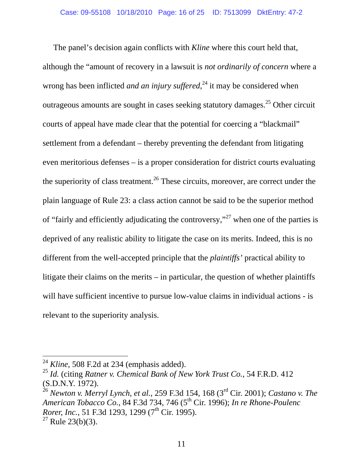The panel's decision again conflicts with *Kline* where this court held that, although the "amount of recovery in a lawsuit is *not ordinarily of concern* where a wrong has been inflicted *and an injury suffered*, 24 it may be considered when outrageous amounts are sought in cases seeking statutory damages.<sup>25</sup> Other circuit courts of appeal have made clear that the potential for coercing a "blackmail" settlement from a defendant – thereby preventing the defendant from litigating even meritorious defenses – is a proper consideration for district courts evaluating the superiority of class treatment.<sup>26</sup> These circuits, moreover, are correct under the plain language of Rule 23: a class action cannot be said to be the superior method of "fairly and efficiently adjudicating the controversy,"27 when one of the parties is deprived of any realistic ability to litigate the case on its merits. Indeed, this is no different from the well-accepted principle that the *plaintiffs'* practical ability to litigate their claims on the merits – in particular, the question of whether plaintiffs will have sufficient incentive to pursue low-value claims in individual actions - is relevant to the superiority analysis.

 $^{24}$  *Kline*, 508 F.2d at 234 (emphasis added).

<sup>25</sup> *Id.* (citing *Ratner v. Chemical Bank of New York Trust Co.*, 54 F.R.D. 412 (S.D.N.Y. 1972).

<sup>26</sup> *Newton v. Merryl Lynch, et al.*, 259 F.3d 154, 168 (3rd Cir. 2001); *Castano v. The American Tobacco Co.*, 84 F.3d 734, 746 (5th Cir. 1996); *In re Rhone-Poulenc Rorer, Inc.*, 51 F.3d 1293, 1299 (7<sup>th</sup> Cir. 1995).

 $27$  Rule 23(b)(3).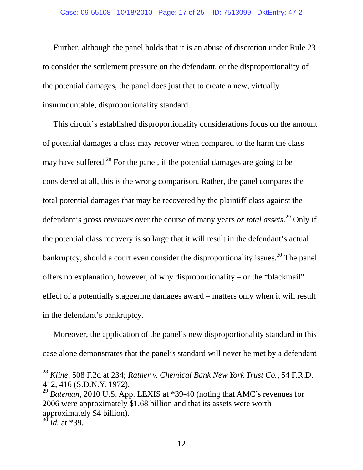### Case: 09-55108 10/18/2010 Page: 17 of 25 ID: 7513099 DktEntry: 47-2

 Further, although the panel holds that it is an abuse of discretion under Rule 23 to consider the settlement pressure on the defendant, or the disproportionality of the potential damages, the panel does just that to create a new, virtually insurmountable, disproportionality standard.

 This circuit's established disproportionality considerations focus on the amount of potential damages a class may recover when compared to the harm the class may have suffered.<sup>28</sup> For the panel, if the potential damages are going to be considered at all, this is the wrong comparison. Rather, the panel compares the total potential damages that may be recovered by the plaintiff class against the defendant's *gross revenues* over the course of many years *or total assets*. 29 Only if the potential class recovery is so large that it will result in the defendant's actual bankruptcy, should a court even consider the disproportionality issues.<sup>30</sup> The panel offers no explanation, however, of why disproportionality – or the "blackmail" effect of a potentially staggering damages award – matters only when it will result in the defendant's bankruptcy.

 Moreover, the application of the panel's new disproportionality standard in this case alone demonstrates that the panel's standard will never be met by a defendant

<sup>28</sup> *Kline*, 508 F.2d at 234; *Ratner v. Chemical Bank New York Trust Co.*, 54 F.R.D. 412, 416 (S.D.N.Y. 1972).

<sup>&</sup>lt;sup>29</sup> *Bateman*, 2010 U.S. App. LEXIS at \*39-40 (noting that AMC's revenues for 2006 were approximately \$1.68 billion and that its assets were worth approximately \$4 billion).

 $^{30}$  *Id.* at \*39.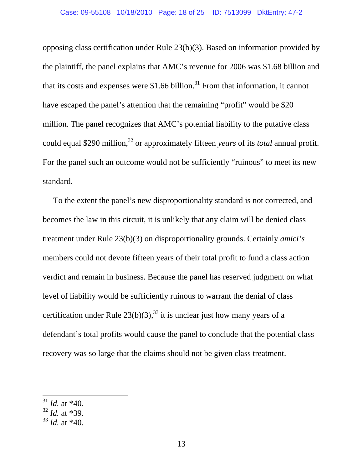opposing class certification under Rule 23(b)(3). Based on information provided by the plaintiff, the panel explains that AMC's revenue for 2006 was \$1.68 billion and that its costs and expenses were \$1.66 billion.<sup>31</sup> From that information, it cannot have escaped the panel's attention that the remaining "profit" would be \$20 million. The panel recognizes that AMC's potential liability to the putative class could equal \$290 million,<sup>32</sup> or approximately fifteen *years* of its *total* annual profit. For the panel such an outcome would not be sufficiently "ruinous" to meet its new standard.

 To the extent the panel's new disproportionality standard is not corrected, and becomes the law in this circuit, it is unlikely that any claim will be denied class treatment under Rule 23(b)(3) on disproportionality grounds. Certainly *amici's* members could not devote fifteen years of their total profit to fund a class action verdict and remain in business. Because the panel has reserved judgment on what level of liability would be sufficiently ruinous to warrant the denial of class certification under Rule  $23(b)(3)$ , <sup>33</sup> it is unclear just how many years of a defendant's total profits would cause the panel to conclude that the potential class recovery was so large that the claims should not be given class treatment.

- <sup>32</sup> *Id.* at \*39.
- <sup>33</sup> *Id.* at \*40.

 $31$  *Id.* at \*40.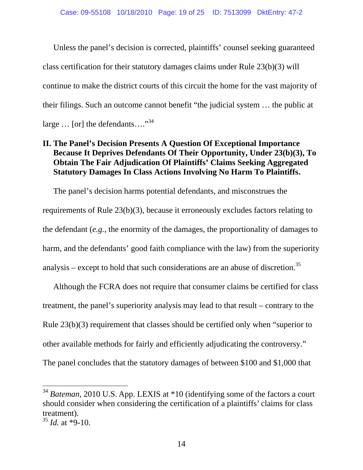Unless the panel's decision is corrected, plaintiffs' counsel seeking guaranteed class certification for their statutory damages claims under Rule 23(b)(3) will continue to make the district courts of this circuit the home for the vast majority of their filings. Such an outcome cannot benefit "the judicial system … the public at large  $\ldots$  [or] the defendants...."<sup>34</sup>

# **II. The Panel's Decision Presents A Question Of Exceptional Importance Because It Deprives Defendants Of Their Opportunity, Under 23(b)(3), To Obtain The Fair Adjudication Of Plaintiffs' Claims Seeking Aggregated Statutory Damages In Class Actions Involving No Harm To Plaintiffs.**

 The panel's decision harms potential defendants, and misconstrues the requirements of Rule 23(b)(3), because it erroneously excludes factors relating to the defendant (*e.g.*, the enormity of the damages, the proportionality of damages to harm, and the defendants' good faith compliance with the law) from the superiority analysis – except to hold that such considerations are an abuse of discretion.<sup>35</sup>

 Although the FCRA does not require that consumer claims be certified for class treatment, the panel's superiority analysis may lead to that result – contrary to the Rule 23(b)(3) requirement that classes should be certified only when "superior to other available methods for fairly and efficiently adjudicating the controversy." The panel concludes that the statutory damages of between \$100 and \$1,000 that

<sup>34</sup> *Bateman*, 2010 U.S. App. LEXIS at \*10 (identifying some of the factors a court should consider when considering the certification of a plaintiffs' claims for class treatment)*.* <sup>35</sup> *Id.* at \*9-10.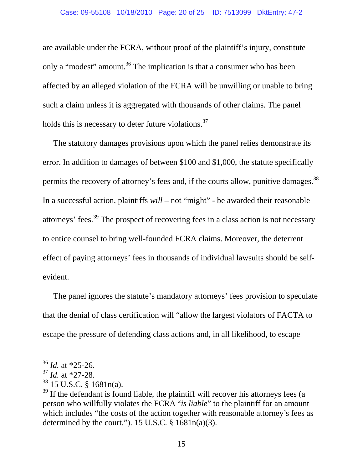are available under the FCRA, without proof of the plaintiff's injury, constitute only a "modest" amount.<sup>36</sup> The implication is that a consumer who has been affected by an alleged violation of the FCRA will be unwilling or unable to bring such a claim unless it is aggregated with thousands of other claims. The panel holds this is necessary to deter future violations.<sup>37</sup>

 The statutory damages provisions upon which the panel relies demonstrate its error. In addition to damages of between \$100 and \$1,000, the statute specifically permits the recovery of attorney's fees and, if the courts allow, punitive damages.<sup>38</sup> In a successful action, plaintiffs *will* – not "might" - be awarded their reasonable attorneys' fees.39 The prospect of recovering fees in a class action is not necessary to entice counsel to bring well-founded FCRA claims. Moreover, the deterrent effect of paying attorneys' fees in thousands of individual lawsuits should be selfevident.

 The panel ignores the statute's mandatory attorneys' fees provision to speculate that the denial of class certification will "allow the largest violators of FACTA to escape the pressure of defending class actions and, in all likelihood, to escape

<sup>36</sup> *Id.* at \*25-26.

<sup>37</sup> *Id.* at \*27-28.

 $38$  15 U.S.C. § 1681n(a).

 $39$  If the defendant is found liable, the plaintiff will recover his attorneys fees (a person who willfully violates the FCRA "*is liable*" to the plaintiff for an amount which includes "the costs of the action together with reasonable attorney's fees as determined by the court."). 15 U.S.C.  $\S$  1681n(a)(3).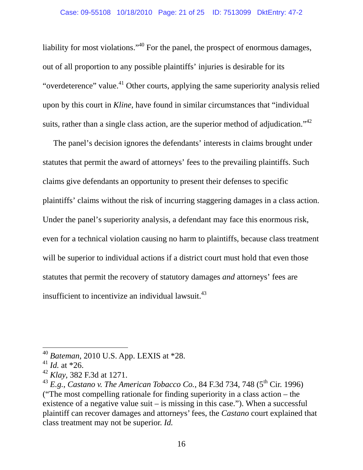liability for most violations."40 For the panel, the prospect of enormous damages, out of all proportion to any possible plaintiffs' injuries is desirable for its "overdeterence" value.<sup>41</sup> Other courts, applying the same superiority analysis relied upon by this court in *Kline*, have found in similar circumstances that "individual suits, rather than a single class action, are the superior method of adjudication.<sup> $1/42$ </sup>

 The panel's decision ignores the defendants' interests in claims brought under statutes that permit the award of attorneys' fees to the prevailing plaintiffs. Such claims give defendants an opportunity to present their defenses to specific plaintiffs' claims without the risk of incurring staggering damages in a class action. Under the panel's superiority analysis, a defendant may face this enormous risk, even for a technical violation causing no harm to plaintiffs, because class treatment will be superior to individual actions if a district court must hold that even those statutes that permit the recovery of statutory damages *and* attorneys' fees are insufficient to incentivize an individual lawsuit. $43$ 

<sup>40</sup> *Bateman*, 2010 U.S. App. LEXIS at \*28.

 $41$  *Id.* at \*26.

<sup>42</sup> *Klay*, 382 F.3d at 1271.

<sup>&</sup>lt;sup>43</sup> E.g., *Castano v. The American Tobacco Co.*, 84 F.3d 734, 748 (5<sup>th</sup> Cir. 1996) ("The most compelling rationale for finding superiority in a class action – the existence of a negative value suit – is missing in this case."). When a successful plaintiff can recover damages and attorneys' fees, the *Castano* court explained that class treatment may not be superior. *Id.*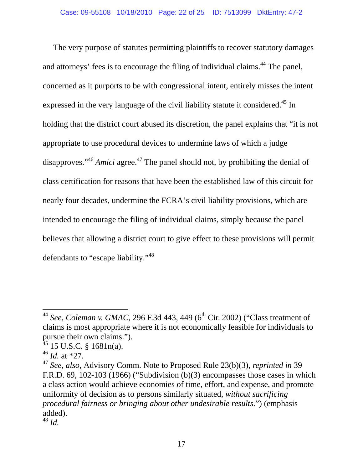The very purpose of statutes permitting plaintiffs to recover statutory damages and attorneys' fees is to encourage the filing of individual claims.<sup>44</sup> The panel, concerned as it purports to be with congressional intent, entirely misses the intent expressed in the very language of the civil liability statute it considered.<sup>45</sup> In holding that the district court abused its discretion, the panel explains that "it is not appropriate to use procedural devices to undermine laws of which a judge disapproves."<sup>46</sup> *Amici* agree.<sup>47</sup> The panel should not, by prohibiting the denial of class certification for reasons that have been the established law of this circuit for nearly four decades, undermine the FCRA's civil liability provisions, which are intended to encourage the filing of individual claims, simply because the panel believes that allowing a district court to give effect to these provisions will permit defendants to "escape liability."48

<sup>&</sup>lt;sup>44</sup> *See, Coleman v. GMAC*, 296 F.3d 443, 449 (6<sup>th</sup> Cir. 2002) ("Class treatment of claims is most appropriate where it is not economically feasible for individuals to pursue their own claims.").

 $45$  15 U.S.C. § 1681n(a).

<sup>46</sup> *Id.* at \*27.

<sup>47</sup> *See, also,* Advisory Comm. Note to Proposed Rule 23(b)(3), *reprinted in* 39 F.R.D. 69, 102-103 (1966) ("Subdivision (b)(3) encompasses those cases in which a class action would achieve economies of time, effort, and expense, and promote uniformity of decision as to persons similarly situated, *without sacrificing procedural fairness or bringing about other undesirable results*.") (emphasis added).

<sup>48</sup> *Id.*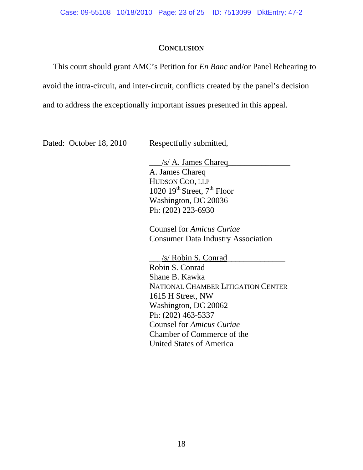### **CONCLUSION**

 This court should grant AMC's Petition for *En Banc* and/or Panel Rehearing to avoid the intra-circuit, and inter-circuit, conflicts created by the panel's decision and to address the exceptionally important issues presented in this appeal.

Dated: October 18, 2010 Respectfully submitted,

 $\frac{1}{s}$  A. James Chareq A. James Chareq HUDSON COO, LLP 1020  $19^{th}$  Street,  $7^{th}$  Floor Washington, DC 20036 Ph: (202) 223-6930

 Counsel for *Amicus Curiae* Consumer Data Industry Association

 \_\_\_/s/ Robin S. Conrad\_\_\_\_\_\_\_\_\_\_\_\_\_\_ Robin S. Conrad Shane B. Kawka NATIONAL CHAMBER LITIGATION CENTER 1615 H Street, NW Washington, DC 20062 Ph: (202) 463-5337 Counsel for *Amicus Curiae* Chamber of Commerce of the United States of America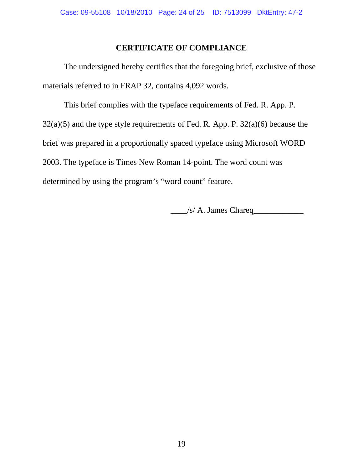## **CERTIFICATE OF COMPLIANCE**

 The undersigned hereby certifies that the foregoing brief, exclusive of those materials referred to in FRAP 32, contains 4,092 words.

 This brief complies with the typeface requirements of Fed. R. App. P.  $32(a)(5)$  and the type style requirements of Fed. R. App. P.  $32(a)(6)$  because the brief was prepared in a proportionally spaced typeface using Microsoft WORD 2003. The typeface is Times New Roman 14-point. The word count was determined by using the program's "word count" feature.

 $/s/A$ . James Chareq